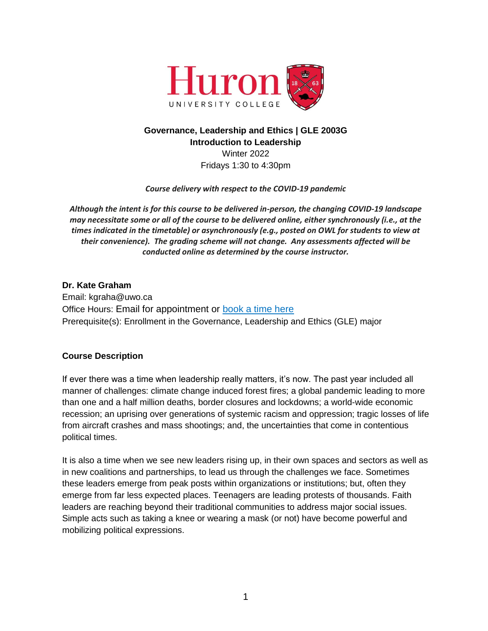

# **Governance, Leadership and Ethics | GLE 2003G Introduction to Leadership** Winter 2022

Fridays 1:30 to 4:30pm

*Course delivery with respect to the COVID-19 pandemic*

*Although the intent is for this course to be delivered in-person, the changing COVID-19 landscape may necessitate some or all of the course to be delivered online, either synchronously (i.e., at the times indicated in the timetable) or asynchronously (e.g., posted on OWL for students to view at their convenience). The grading scheme will not change. Any assessments affected will be conducted online as determined by the course instructor.*

# **Dr. Kate Graham** Email: [kgraha@uwo.ca](mailto:kgraha@uwo.ca) Office Hours: Email for appointment or [book a time here](https://calendly.com/katemariegraham/office-hours) Prerequisite(s): Enrollment in the Governance, Leadership and Ethics (GLE) major

# **Course Description**

If ever there was a time when leadership really matters, it's now. The past year included all manner of challenges: climate change induced forest fires; a global pandemic leading to more than one and a half million deaths, border closures and lockdowns; a world-wide economic recession; an uprising over generations of systemic racism and oppression; tragic losses of life from aircraft crashes and mass shootings; and, the uncertainties that come in contentious political times.

It is also a time when we see new leaders rising up, in their own spaces and sectors as well as in new coalitions and partnerships, to lead us through the challenges we face. Sometimes these leaders emerge from peak posts within organizations or institutions; but, often they emerge from far less expected places. Teenagers are leading protests of thousands. Faith leaders are reaching beyond their traditional communities to address major social issues. Simple acts such as taking a knee or wearing a mask (or not) have become powerful and mobilizing political expressions.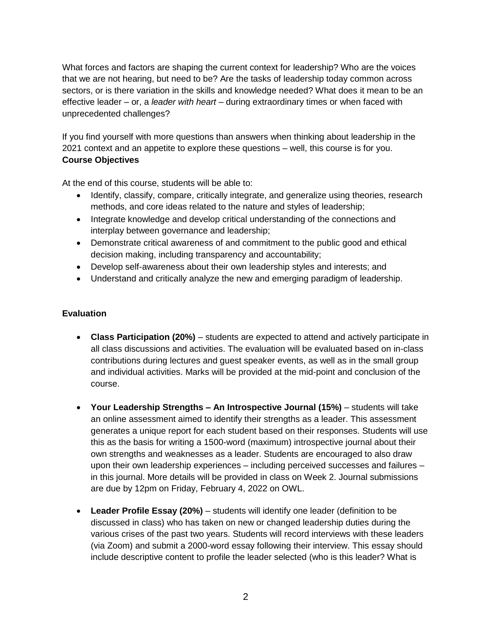What forces and factors are shaping the current context for leadership? Who are the voices that we are not hearing, but need to be? Are the tasks of leadership today common across sectors, or is there variation in the skills and knowledge needed? What does it mean to be an effective leader – or, a *leader with heart* – during extraordinary times or when faced with unprecedented challenges?

If you find yourself with more questions than answers when thinking about leadership in the 2021 context and an appetite to explore these questions – well, this course is for you. **Course Objectives**

At the end of this course, students will be able to:

- Identify, classify, compare, critically integrate, and generalize using theories, research methods, and core ideas related to the nature and styles of leadership;
- Integrate knowledge and develop critical understanding of the connections and interplay between governance and leadership;
- Demonstrate critical awareness of and commitment to the public good and ethical decision making, including transparency and accountability;
- Develop self-awareness about their own leadership styles and interests; and
- Understand and critically analyze the new and emerging paradigm of leadership.

## **Evaluation**

- **Class Participation (20%)**  students are expected to attend and actively participate in all class discussions and activities. The evaluation will be evaluated based on in-class contributions during lectures and guest speaker events, as well as in the small group and individual activities. Marks will be provided at the mid-point and conclusion of the course.
- **Your Leadership Strengths – An Introspective Journal (15%)**  students will take an online assessment aimed to identify their strengths as a leader. This assessment generates a unique report for each student based on their responses. Students will use this as the basis for writing a 1500-word (maximum) introspective journal about their own strengths and weaknesses as a leader. Students are encouraged to also draw upon their own leadership experiences – including perceived successes and failures – in this journal. More details will be provided in class on Week 2. Journal submissions are due by 12pm on Friday, February 4, 2022 on OWL.
- **Leader Profile Essay (20%)**  students will identify one leader (definition to be discussed in class) who has taken on new or changed leadership duties during the various crises of the past two years. Students will record interviews with these leaders (via Zoom) and submit a 2000-word essay following their interview. This essay should include descriptive content to profile the leader selected (who is this leader? What is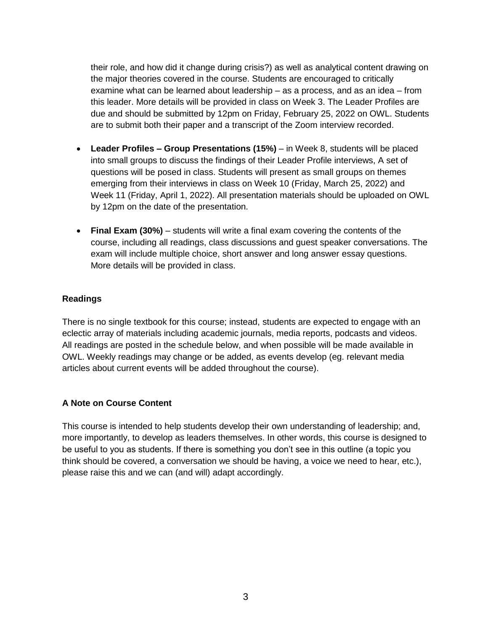their role, and how did it change during crisis?) as well as analytical content drawing on the major theories covered in the course. Students are encouraged to critically examine what can be learned about leadership – as a process, and as an idea – from this leader. More details will be provided in class on Week 3. The Leader Profiles are due and should be submitted by 12pm on Friday, February 25, 2022 on OWL. Students are to submit both their paper and a transcript of the Zoom interview recorded.

- **Leader Profiles – Group Presentations (15%)**  in Week 8, students will be placed into small groups to discuss the findings of their Leader Profile interviews, A set of questions will be posed in class. Students will present as small groups on themes emerging from their interviews in class on Week 10 (Friday, March 25, 2022) and Week 11 (Friday, April 1, 2022). All presentation materials should be uploaded on OWL by 12pm on the date of the presentation.
- **Final Exam (30%)**  students will write a final exam covering the contents of the course, including all readings, class discussions and guest speaker conversations. The exam will include multiple choice, short answer and long answer essay questions. More details will be provided in class.

## **Readings**

There is no single textbook for this course; instead, students are expected to engage with an eclectic array of materials including academic journals, media reports, podcasts and videos. All readings are posted in the schedule below, and when possible will be made available in OWL. Weekly readings may change or be added, as events develop (eg. relevant media articles about current events will be added throughout the course).

# **A Note on Course Content**

This course is intended to help students develop their own understanding of leadership; and, more importantly, to develop as leaders themselves. In other words, this course is designed to be useful to you as students. If there is something you don't see in this outline (a topic you think should be covered, a conversation we should be having, a voice we need to hear, etc.), please raise this and we can (and will) adapt accordingly.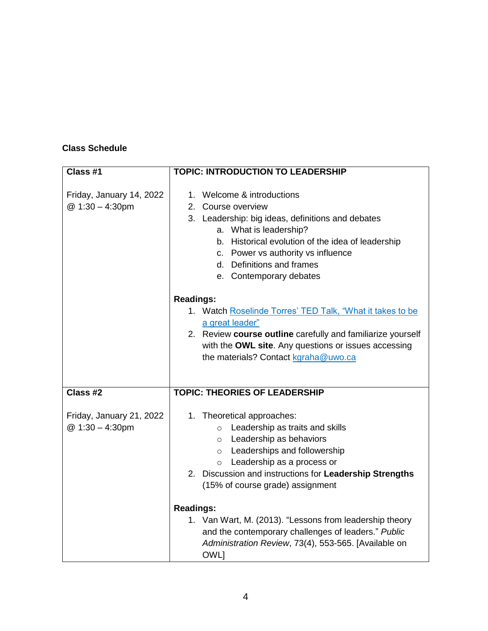# **Class Schedule**

| Class #1                                    | <b>TOPIC: INTRODUCTION TO LEADERSHIP</b>                                                                                                                                                                                                                                                          |
|---------------------------------------------|---------------------------------------------------------------------------------------------------------------------------------------------------------------------------------------------------------------------------------------------------------------------------------------------------|
| Friday, January 14, 2022<br>@ 1:30 - 4:30pm | 1. Welcome & introductions<br>2. Course overview<br>3. Leadership: big ideas, definitions and debates<br>a. What is leadership?<br>b. Historical evolution of the idea of leadership<br>c. Power vs authority vs influence<br>d. Definitions and frames<br>e. Contemporary debates                |
|                                             | <b>Readings:</b><br>1. Watch Roselinde Torres' TED Talk, "What it takes to be<br>a great leader"<br>2. Review course outline carefully and familiarize yourself<br>with the OWL site. Any questions or issues accessing<br>the materials? Contact kgraha@uwo.ca                                   |
| Class #2                                    | <b>TOPIC: THEORIES OF LEADERSHIP</b>                                                                                                                                                                                                                                                              |
| Friday, January 21, 2022<br>@ 1:30 - 4:30pm | 1. Theoretical approaches:<br>Leadership as traits and skills<br>$\circ$<br>Leadership as behaviors<br>$\circ$<br>Leaderships and followership<br>$\circ$<br>Leadership as a process or<br>$\circ$<br>2. Discussion and instructions for Leadership Strengths<br>(15% of course grade) assignment |
|                                             | <b>Readings:</b><br>1. Van Wart, M. (2013). "Lessons from leadership theory<br>and the contemporary challenges of leaders." Public<br>Administration Review, 73(4), 553-565. [Available on<br><b>OWLI</b>                                                                                         |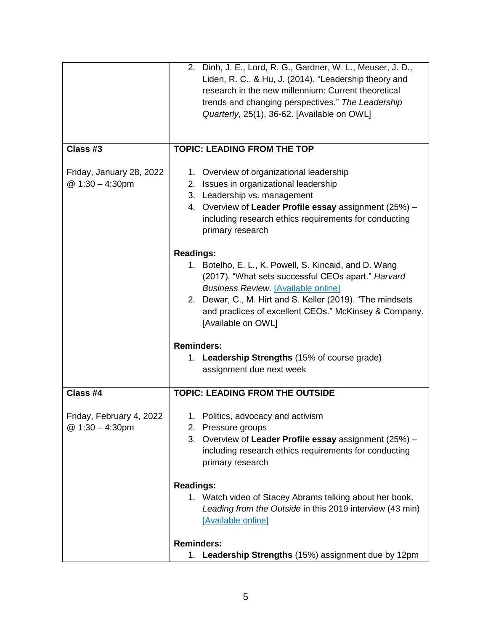|                                             | 2. Dinh, J. E., Lord, R. G., Gardner, W. L., Meuser, J. D.,<br>Liden, R. C., & Hu, J. (2014). "Leadership theory and<br>research in the new millennium: Current theoretical<br>trends and changing perspectives." The Leadership<br>Quarterly, 25(1), 36-62. [Available on OWL]                                           |
|---------------------------------------------|---------------------------------------------------------------------------------------------------------------------------------------------------------------------------------------------------------------------------------------------------------------------------------------------------------------------------|
| Class #3                                    | <b>TOPIC: LEADING FROM THE TOP</b>                                                                                                                                                                                                                                                                                        |
| Friday, January 28, 2022<br>@ 1:30 - 4:30pm | 1. Overview of organizational leadership<br>2. Issues in organizational leadership<br>3. Leadership vs. management<br>4. Overview of Leader Profile essay assignment (25%) -<br>including research ethics requirements for conducting<br>primary research                                                                 |
|                                             | <b>Readings:</b><br>1. Botelho, E. L., K. Powell, S. Kincaid, and D. Wang<br>(2017). "What sets successful CEOs apart." Harvard<br><b>Business Review. [Available online]</b><br>2. Dewar, C., M. Hirt and S. Keller (2019). "The mindsets<br>and practices of excellent CEOs." McKinsey & Company.<br>[Available on OWL] |
|                                             | <b>Reminders:</b><br>1. Leadership Strengths (15% of course grade)<br>assignment due next week                                                                                                                                                                                                                            |
| Class #4                                    | <b>TOPIC: LEADING FROM THE OUTSIDE</b>                                                                                                                                                                                                                                                                                    |
| Friday, February 4, 2022<br>@ 1:30 - 4:30pm | 1. Politics, advocacy and activism<br>2. Pressure groups<br>Overview of Leader Profile essay assignment (25%) -<br>3.<br>including research ethics requirements for conducting<br>primary research                                                                                                                        |
|                                             | <b>Readings:</b><br>1. Watch video of Stacey Abrams talking about her book,<br>Leading from the Outside in this 2019 interview (43 min)<br>[Available online]                                                                                                                                                             |
|                                             | <b>Reminders:</b><br>1. Leadership Strengths (15%) assignment due by 12pm                                                                                                                                                                                                                                                 |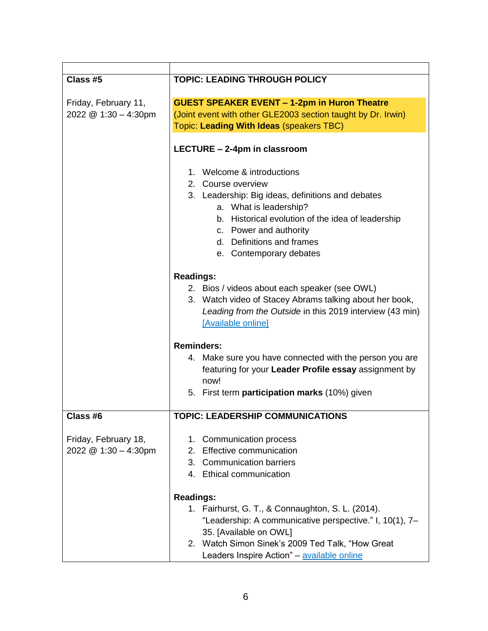| Class #5                                     | <b>TOPIC: LEADING THROUGH POLICY</b>                                                                             |
|----------------------------------------------|------------------------------------------------------------------------------------------------------------------|
| Friday, February 11,                         | <b>GUEST SPEAKER EVENT - 1-2pm in Huron Theatre</b>                                                              |
| 2022 @ 1:30 - 4:30pm                         | (Joint event with other GLE2003 section taught by Dr. Irwin)                                                     |
|                                              | Topic: Leading With Ideas (speakers TBC)                                                                         |
|                                              | LECTURE - 2-4pm in classroom                                                                                     |
|                                              | 1. Welcome & introductions                                                                                       |
|                                              | 2. Course overview                                                                                               |
|                                              | 3. Leadership: Big ideas, definitions and debates                                                                |
|                                              | a. What is leadership?                                                                                           |
|                                              | b. Historical evolution of the idea of leadership                                                                |
|                                              | c. Power and authority                                                                                           |
|                                              | d. Definitions and frames                                                                                        |
|                                              | e. Contemporary debates                                                                                          |
|                                              | <b>Readings:</b>                                                                                                 |
|                                              | 2. Bios / videos about each speaker (see OWL)                                                                    |
|                                              | 3. Watch video of Stacey Abrams talking about her book,                                                          |
|                                              | Leading from the Outside in this 2019 interview (43 min)                                                         |
|                                              | [Available online]                                                                                               |
|                                              |                                                                                                                  |
|                                              | <b>Reminders:</b>                                                                                                |
|                                              | 4. Make sure you have connected with the person you are<br>featuring for your Leader Profile essay assignment by |
|                                              | now!                                                                                                             |
|                                              | 5. First term participation marks (10%) given                                                                    |
| Class #6                                     | <b>TOPIC: LEADERSHIP COMMUNICATIONS</b>                                                                          |
|                                              |                                                                                                                  |
| Friday, February 18,<br>2022 @ 1:30 - 4:30pm | <b>Communication process</b><br>1.<br>2. Effective communication                                                 |
|                                              | 3. Communication barriers                                                                                        |
|                                              | 4. Ethical communication                                                                                         |
|                                              |                                                                                                                  |
|                                              | <b>Readings:</b>                                                                                                 |
|                                              | 1. Fairhurst, G. T., & Connaughton, S. L. (2014).                                                                |
|                                              | "Leadership: A communicative perspective." I, 10(1), 7-                                                          |
|                                              | 35. [Available on OWL]                                                                                           |
|                                              | 2. Watch Simon Sinek's 2009 Ted Talk, "How Great                                                                 |
|                                              | Leaders Inspire Action" - available online                                                                       |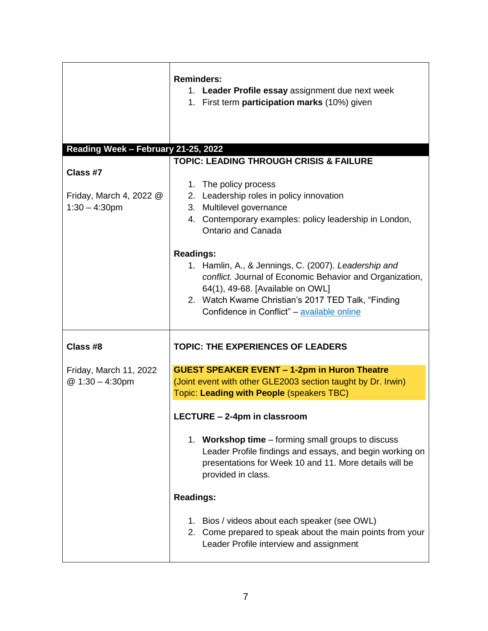|                                                         | <b>Reminders:</b><br>1. Leader Profile essay assignment due next week<br>1. First term participation marks (10%) given                                                                                                                                     |
|---------------------------------------------------------|------------------------------------------------------------------------------------------------------------------------------------------------------------------------------------------------------------------------------------------------------------|
| Reading Week - February 21-25, 2022                     |                                                                                                                                                                                                                                                            |
| Class #7<br>Friday, March 4, 2022 @<br>$1:30 - 4:30$ pm | <b>TOPIC: LEADING THROUGH CRISIS &amp; FAILURE</b><br>The policy process<br>1.<br>2. Leadership roles in policy innovation<br>3. Multilevel governance<br>4. Contemporary examples: policy leadership in London,<br>Ontario and Canada<br><b>Readings:</b> |
|                                                         | 1. Hamlin, A., & Jennings, C. (2007). Leadership and<br>conflict. Journal of Economic Behavior and Organization,<br>64(1), 49-68. [Available on OWL]<br>2. Watch Kwame Christian's 2017 TED Talk, "Finding<br>Confidence in Conflict" - available online   |
| Class #8                                                | <b>TOPIC: THE EXPERIENCES OF LEADERS</b>                                                                                                                                                                                                                   |
| Friday, March 11, 2022<br>@ 1:30 - 4:30pm               | <b>GUEST SPEAKER EVENT - 1-2pm in Huron Theatre</b><br>(Joint event with other GLE2003 section taught by Dr. Irwin)<br>Topic: Leading with People (speakers TBC)                                                                                           |
|                                                         | LECTURE - 2-4pm in classroom                                                                                                                                                                                                                               |
|                                                         | 1. Workshop time – forming small groups to discuss<br>Leader Profile findings and essays, and begin working on<br>presentations for Week 10 and 11. More details will be<br>provided in class.                                                             |
|                                                         | <b>Readings:</b>                                                                                                                                                                                                                                           |
|                                                         | 1. Bios / videos about each speaker (see OWL)<br>2. Come prepared to speak about the main points from your<br>Leader Profile interview and assignment                                                                                                      |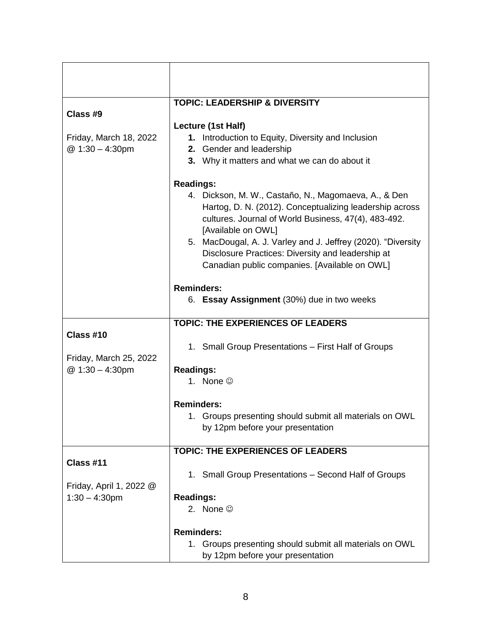| Class #9                                                 | <b>TOPIC: LEADERSHIP &amp; DIVERSITY</b><br>Lecture (1st Half)                                                                                                                                                                                                                                                                                                                          |
|----------------------------------------------------------|-----------------------------------------------------------------------------------------------------------------------------------------------------------------------------------------------------------------------------------------------------------------------------------------------------------------------------------------------------------------------------------------|
| Friday, March 18, 2022<br>@ 1:30 - 4:30pm                | Introduction to Equity, Diversity and Inclusion<br>1.<br>2. Gender and leadership<br>3. Why it matters and what we can do about it                                                                                                                                                                                                                                                      |
|                                                          | <b>Readings:</b><br>4. Dickson, M. W., Castaño, N., Magomaeva, A., & Den<br>Hartog, D. N. (2012). Conceptualizing leadership across<br>cultures. Journal of World Business, 47(4), 483-492.<br>[Available on OWL]<br>5. MacDougal, A. J. Varley and J. Jeffrey (2020). "Diversity<br>Disclosure Practices: Diversity and leadership at<br>Canadian public companies. [Available on OWL] |
|                                                          | <b>Reminders:</b><br>6. Essay Assignment (30%) due in two weeks                                                                                                                                                                                                                                                                                                                         |
|                                                          | <b>TOPIC: THE EXPERIENCES OF LEADERS</b>                                                                                                                                                                                                                                                                                                                                                |
| Class #10<br>Friday, March 25, 2022<br>@ 1:30 - 4:30pm   | 1. Small Group Presentations - First Half of Groups                                                                                                                                                                                                                                                                                                                                     |
|                                                          | <b>Readings:</b><br>1. None $\odot$                                                                                                                                                                                                                                                                                                                                                     |
|                                                          | <b>Reminders:</b><br>1. Groups presenting should submit all materials on OWL<br>by 12pm before your presentation                                                                                                                                                                                                                                                                        |
|                                                          | <b>TOPIC: THE EXPERIENCES OF LEADERS</b>                                                                                                                                                                                                                                                                                                                                                |
| Class #11<br>Friday, April 1, 2022 @<br>$1:30 - 4:30$ pm | 1. Small Group Presentations - Second Half of Groups                                                                                                                                                                                                                                                                                                                                    |
|                                                          | <b>Readings:</b><br>2. None $\odot$                                                                                                                                                                                                                                                                                                                                                     |
|                                                          | <b>Reminders:</b><br>1. Groups presenting should submit all materials on OWL<br>by 12pm before your presentation                                                                                                                                                                                                                                                                        |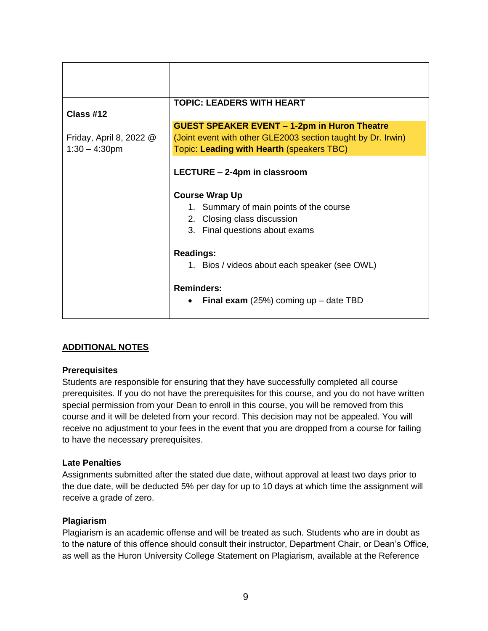| Class #12               | <b>TOPIC: LEADERS WITH HEART</b>                                                                                                |
|-------------------------|---------------------------------------------------------------------------------------------------------------------------------|
|                         | <b>GUEST SPEAKER EVENT - 1-2pm in Huron Theatre</b>                                                                             |
| Friday, April 8, 2022 @ | (Joint event with other GLE2003 section taught by Dr. Irwin)                                                                    |
| $1:30 - 4:30$ pm        | Topic: Leading with Hearth (speakers TBC)                                                                                       |
|                         | LECTURE - 2-4pm in classroom<br><b>Course Wrap Up</b><br>1. Summary of main points of the course<br>2. Closing class discussion |
|                         | 3. Final questions about exams                                                                                                  |
|                         | <b>Readings:</b>                                                                                                                |
|                         | 1. Bios / videos about each speaker (see OWL)                                                                                   |
|                         | <b>Reminders:</b><br><b>Final exam</b> (25%) coming up $-$ date TBD                                                             |

# **ADDITIONAL NOTES**

### **Prerequisites**

Students are responsible for ensuring that they have successfully completed all course prerequisites. If you do not have the prerequisites for this course, and you do not have written special permission from your Dean to enroll in this course, you will be removed from this course and it will be deleted from your record. This decision may not be appealed. You will receive no adjustment to your fees in the event that you are dropped from a course for failing to have the necessary prerequisites.

### **Late Penalties**

Assignments submitted after the stated due date, without approval at least two days prior to the due date, will be deducted 5% per day for up to 10 days at which time the assignment will receive a grade of zero.

### **Plagiarism**

Plagiarism is an academic offense and will be treated as such. Students who are in doubt as to the nature of this offence should consult their instructor, Department Chair, or Dean's Office, as well as the Huron University College Statement on Plagiarism, available at the Reference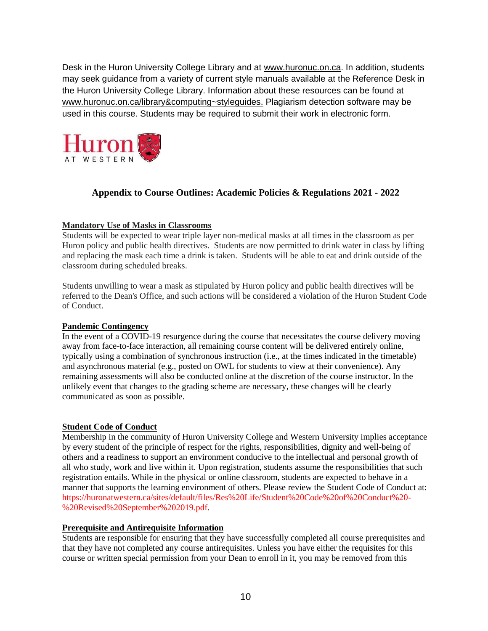Desk in the Huron University College Library and at www.huronuc.on.ca. In addition, students may seek guidance from a variety of current style manuals available at the Reference Desk in the Huron University College Library. Information about these resources can be found at [www.huronuc.on.ca/library&computing~styleguides.](http://www.huronuc.on.ca/library&computing~styleguides) Plagiarism detection software may be used in this course. Students may be required to submit their work in electronic form.



# **Appendix to Course Outlines: Academic Policies & Regulations 2021 - 2022**

### **Mandatory Use of Masks in Classrooms**

Students will be expected to wear triple layer non-medical masks at all times in the classroom as per Huron policy and public health directives. Students are now permitted to drink water in class by lifting and replacing the mask each time a drink is taken. Students will be able to eat and drink outside of the classroom during scheduled breaks.

Students unwilling to wear a mask as stipulated by Huron policy and public health directives will be referred to the Dean's Office, and such actions will be considered a violation of the Huron Student Code of Conduct.

#### **Pandemic Contingency**

In the event of a COVID-19 resurgence during the course that necessitates the course delivery moving away from face-to-face interaction, all remaining course content will be delivered entirely online, typically using a combination of synchronous instruction (i.e., at the times indicated in the timetable) and asynchronous material (e.g., posted on OWL for students to view at their convenience). Any remaining assessments will also be conducted online at the discretion of the course instructor. In the unlikely event that changes to the grading scheme are necessary, these changes will be clearly communicated as soon as possible.

#### **Student Code of Conduct**

Membership in the community of Huron University College and Western University implies acceptance by every student of the principle of respect for the rights, responsibilities, dignity and well-being of others and a readiness to support an environment conducive to the intellectual and personal growth of all who study, work and live within it. Upon registration, students assume the responsibilities that such registration entails. While in the physical or online classroom, students are expected to behave in a manner that supports the learning environment of others. Please review the Student Code of Conduct at: [https://huronatwestern.ca/sites/default/files/Res%20Life/Student%20Code%20of%20Conduct%20-](https://huronatwestern.ca/sites/default/files/Res%20Life/Student%20Code%20of%20Conduct%20-%20Revised%20September%202019.pdf) [%20Revised%20September%202019.pdf.](https://huronatwestern.ca/sites/default/files/Res%20Life/Student%20Code%20of%20Conduct%20-%20Revised%20September%202019.pdf)

#### **Prerequisite and Antirequisite Information**

Students are responsible for ensuring that they have successfully completed all course prerequisites and that they have not completed any course antirequisites. Unless you have either the requisites for this course or written special permission from your Dean to enroll in it, you may be removed from this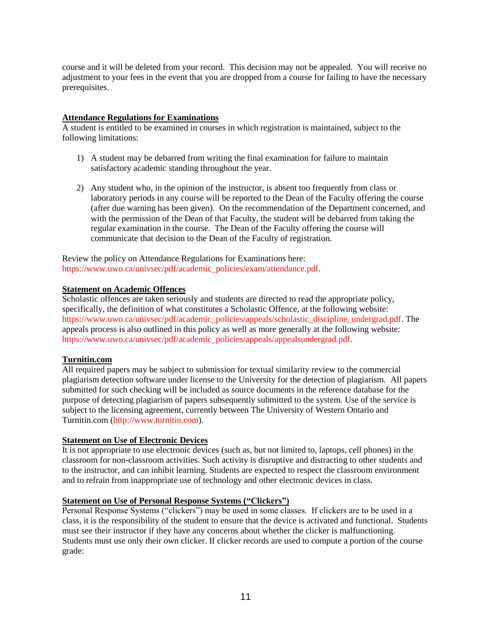course and it will be deleted from your record. This decision may not be appealed. You will receive no adjustment to your fees in the event that you are dropped from a course for failing to have the necessary prerequisites.

#### **Attendance Regulations for Examinations**

A student is entitled to be examined in courses in which registration is maintained, subject to the following limitations:

- 1) A student may be debarred from writing the final examination for failure to maintain satisfactory academic standing throughout the year.
- 2) Any student who, in the opinion of the instructor, is absent too frequently from class or laboratory periods in any course will be reported to the Dean of the Faculty offering the course (after due warning has been given). On the recommendation of the Department concerned, and with the permission of the Dean of that Faculty, the student will be debarred from taking the regular examination in the course. The Dean of the Faculty offering the course will communicate that decision to the Dean of the Faculty of registration.

Review the policy on Attendance Regulations for Examinations here: [https://www.uwo.ca/univsec/pdf/academic\\_policies/exam/attendance.pdf.](https://www.uwo.ca/univsec/pdf/academic_policies/exam/attendance.pdf)

#### **Statement on Academic Offences**

Scholastic offences are taken seriously and students are directed to read the appropriate policy, specifically, the definition of what constitutes a Scholastic Offence, at the following website: [https://www.uwo.ca/univsec/pdf/academic\\_policies/appeals/scholastic\\_discipline\\_undergrad.pdf.](https://www.uwo.ca/univsec/pdf/academic_policies/appeals/scholastic_discipline_undergrad.pdf) The appeals process is also outlined in this policy as well as more generally at the following website: [https://www.uwo.ca/univsec/pdf/academic\\_policies/appeals/appealsundergrad.pdf.](https://www.uwo.ca/univsec/pdf/academic_policies/appeals/appealsundergrad.pdf)

#### **Turnitin.com**

All required papers may be subject to submission for textual similarity review to the commercial plagiarism detection software under license to the University for the detection of plagiarism. All papers submitted for such checking will be included as source documents in the reference database for the purpose of detecting plagiarism of papers subsequently submitted to the system. Use of the service is subject to the licensing agreement, currently between The University of Western Ontario and Turnitin.com [\(http://www.turnitin.com\)](http://www.turnitin.com/).

#### **Statement on Use of Electronic Devices**

It is not appropriate to use electronic devices (such as, but not limited to, laptops, cell phones) in the classroom for non-classroom activities. Such activity is disruptive and distracting to other students and to the instructor, and can inhibit learning. Students are expected to respect the classroom environment and to refrain from inappropriate use of technology and other electronic devices in class.

### **Statement on Use of Personal Response Systems ("Clickers")**

Personal Response Systems ("clickers") may be used in some classes. If clickers are to be used in a class, it is the responsibility of the student to ensure that the device is activated and functional. Students must see their instructor if they have any concerns about whether the clicker is malfunctioning. Students must use only their own clicker. If clicker records are used to compute a portion of the course grade: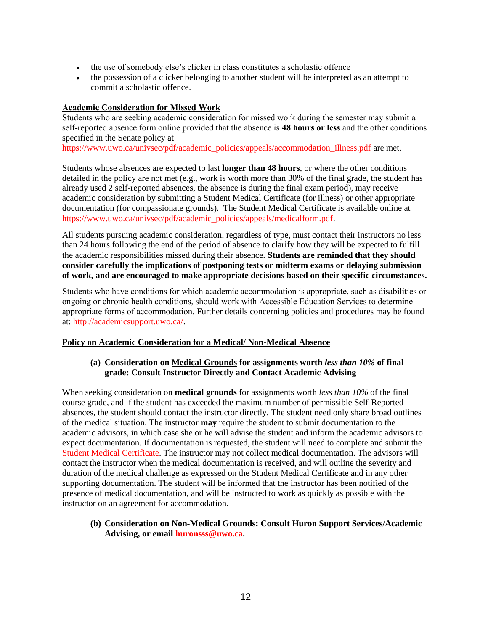- the use of somebody else's clicker in class constitutes a scholastic offence
- the possession of a clicker belonging to another student will be interpreted as an attempt to commit a scholastic offence.

#### **Academic Consideration for Missed Work**

Students who are seeking academic consideration for missed work during the semester may submit a self-reported absence form online provided that the absence is **48 hours or less** and the other conditions specified in the Senate policy at

[https://www.uwo.ca/univsec/pdf/academic\\_policies/appeals/accommodation\\_illness.pdf](https://www.uwo.ca/univsec/pdf/academic_policies/appeals/accommodation_illness.pdf) are met.

Students whose absences are expected to last **longer than 48 hours**, or where the other conditions detailed in the policy are not met (e.g., work is worth more than 30% of the final grade, the student has already used 2 self-reported absences, the absence is during the final exam period), may receive academic consideration by submitting a Student Medical Certificate (for illness) or other appropriate documentation (for compassionate grounds). The Student Medical Certificate is available online at [https://www.uwo.ca/univsec/pdf/academic\\_policies/appeals/medicalform.pdf.](https://www.uwo.ca/univsec/pdf/academic_policies/appeals/medicalform.pdf)

All students pursuing academic consideration, regardless of type, must contact their instructors no less than 24 hours following the end of the period of absence to clarify how they will be expected to fulfill the academic responsibilities missed during their absence. **Students are reminded that they should consider carefully the implications of postponing tests or midterm exams or delaying submission of work, and are encouraged to make appropriate decisions based on their specific circumstances.**

Students who have conditions for which academic accommodation is appropriate, such as disabilities or ongoing or chronic health conditions, should work with Accessible Education Services to determine appropriate forms of accommodation. Further details concerning policies and procedures may be found at: [http://academicsupport.uwo.ca/.](http://academicsupport.uwo.ca/)

#### **Policy on Academic Consideration for a Medical/ Non-Medical Absence**

#### **(a) Consideration on Medical Grounds for assignments worth** *less than 10%* **of final grade: Consult Instructor Directly and Contact Academic Advising**

When seeking consideration on **medical grounds** for assignments worth *less than 10%* of the final course grade, and if the student has exceeded the maximum number of permissible Self-Reported absences, the student should contact the instructor directly. The student need only share broad outlines of the medical situation. The instructor **may** require the student to submit documentation to the academic advisors, in which case she or he will advise the student and inform the academic advisors to expect documentation. If documentation is requested, the student will need to complete and submit the [Student Medical Certificate.](https://www.uwo.ca/univsec/pdf/academic_policies/appeals/medicalform_15JUN.pdf) The instructor may not collect medical documentation. The advisors will contact the instructor when the medical documentation is received, and will outline the severity and duration of the medical challenge as expressed on the Student Medical Certificate and in any other supporting documentation. The student will be informed that the instructor has been notified of the presence of medical documentation, and will be instructed to work as quickly as possible with the instructor on an agreement for accommodation.

#### **(b) Consideration on Non-Medical Grounds: Consult Huron Support Services/Academic Advising, or email [huronsss@uwo.ca.](mailto:huronsss@uwo.ca)**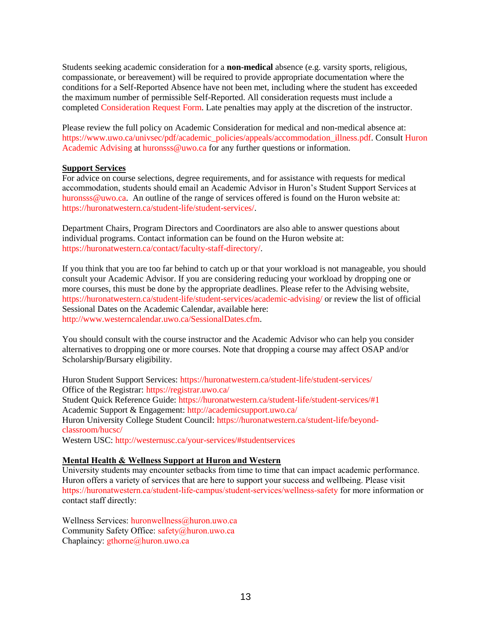Students seeking academic consideration for a **non-medical** absence (e.g. varsity sports, religious, compassionate, or bereavement) will be required to provide appropriate documentation where the conditions for a Self-Reported Absence have not been met, including where the student has exceeded the maximum number of permissible Self-Reported. All consideration requests must include a completed [Consideration Request Form.](https://huronatwestern.ca/sites/default/files/Forms/Academic%20Consideration%20Request%20Form%202020.pdf) Late penalties may apply at the discretion of the instructor.

Please review the full policy on Academic Consideration for medical and non-medical absence at: [https://www.uwo.ca/univsec/pdf/academic\\_policies/appeals/accommodation\\_illness.pdf.](https://www.uwo.ca/univsec/pdf/academic_policies/appeals/accommodation_illness.pdf) Consult Huron [Academic Advising](https://huronatwestern.ca/student-life/student-services/academic-advising/) at [huronsss@uwo.ca](mailto:huronsss@uwo.ca) for any further questions or information.

#### **Support Services**

For advice on course selections, degree requirements, and for assistance with requests for medical accommodation, students should email an Academic Advisor in Huron's Student Support Services at [huronsss@uwo.ca.](mailto:huronsss@uwo.ca) An outline of the range of services offered is found on the Huron website at: [https://huronatwestern.ca/student-life/student-services/.](https://huronatwestern.ca/student-life/student-services/)

Department Chairs, Program Directors and Coordinators are also able to answer questions about individual programs. Contact information can be found on the Huron website at: [https://huronatwestern.ca/contact/faculty-staff-directory/.](https://huronatwestern.ca/contact/faculty-staff-directory/)

If you think that you are too far behind to catch up or that your workload is not manageable, you should consult your Academic Advisor. If you are considering reducing your workload by dropping one or more courses, this must be done by the appropriate deadlines. Please refer to the Advising website, <https://huronatwestern.ca/student-life/student-services/academic-advising/> or review the list of official Sessional Dates on the Academic Calendar, available here: [http://www.westerncalendar.uwo.ca/SessionalDates.cfm.](http://www.westerncalendar.uwo.ca/SessionalDates.cfm)

You should consult with the course instructor and the Academic Advisor who can help you consider alternatives to dropping one or more courses. Note that dropping a course may affect OSAP and/or Scholarship/Bursary eligibility.

Huron Student Support Services:<https://huronatwestern.ca/student-life/student-services/> Office of the Registrar: <https://registrar.uwo.ca/> Student Quick Reference Guide:<https://huronatwestern.ca/student-life/student-services/#1> Academic Support & Engagement:<http://academicsupport.uwo.ca/> Huron University College Student Council: [https://huronatwestern.ca/student-life/beyond](https://huronatwestern.ca/student-life/beyond-classroom/hucsc/)[classroom/hucsc/](https://huronatwestern.ca/student-life/beyond-classroom/hucsc/) 

Western USC:<http://westernusc.ca/your-services/#studentservices>

#### **Mental Health & Wellness Support at Huron and Western**

University students may encounter setbacks from time to time that can impact academic performance. Huron offers a variety of services that are here to support your success and wellbeing. Please visit <https://huronatwestern.ca/student-life-campus/student-services/wellness-safety> for more information or contact staff directly:

Wellness Services: [huronwellness@huron.uwo.ca](mailto:huronwellness@huron.uwo.ca) Community Safety Office: [safety@huron.uwo.ca](mailto:safety@huron.uwo.ca) Chaplaincy: [gthorne@huron.uwo.ca](mailto:gthorne@huron.uwo.ca)